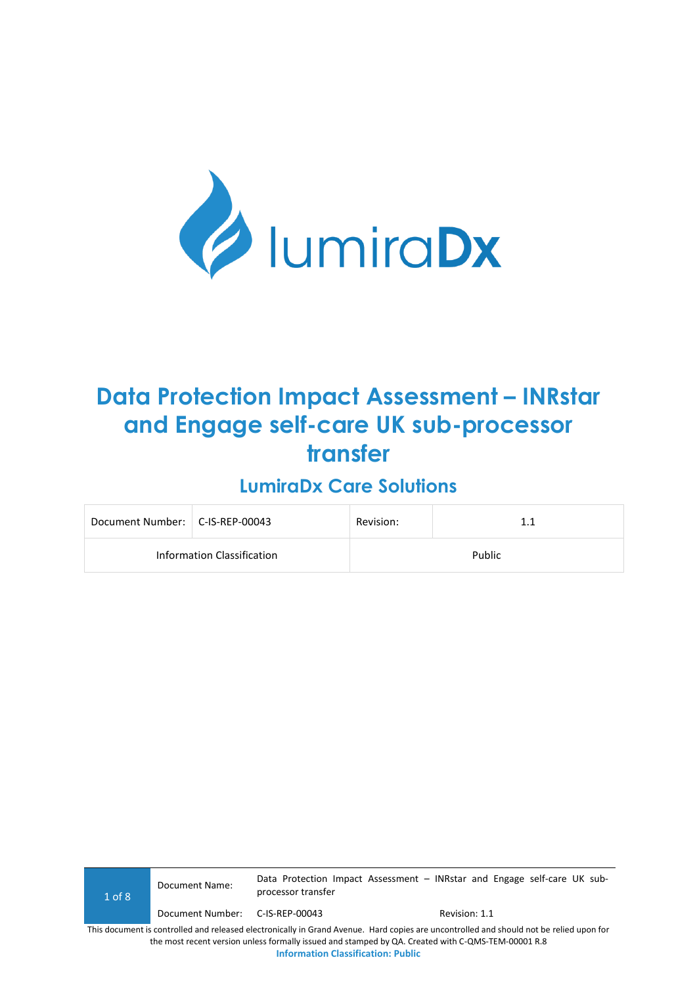

# **Data Protection Impact Assessment – INRstar and Engage self-care UK sub-processor transfer**

## **LumiraDx Care Solutions**

| Document Number:   C-IS-REP-00043 |  | Revision: | 1.1    |
|-----------------------------------|--|-----------|--------|
| Information Classification        |  |           | Public |

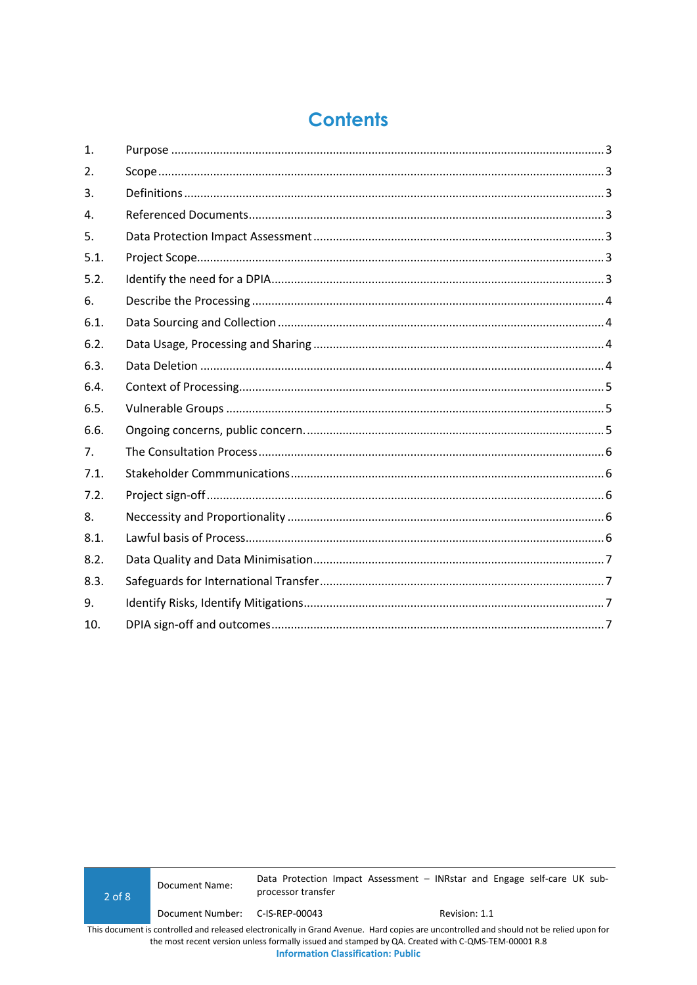## **Contents**

| 1.   |  |
|------|--|
| 2.   |  |
| 3.   |  |
| 4.   |  |
| 5.   |  |
| 5.1. |  |
| 5.2. |  |
| 6.   |  |
| 6.1. |  |
| 6.2. |  |
| 6.3. |  |
| 6.4. |  |
| 6.5. |  |
| 6.6. |  |
| 7.   |  |
| 7.1. |  |
| 7.2. |  |
| 8.   |  |
| 8.1. |  |
| 8.2. |  |
| 8.3. |  |
| 9.   |  |
| 10.  |  |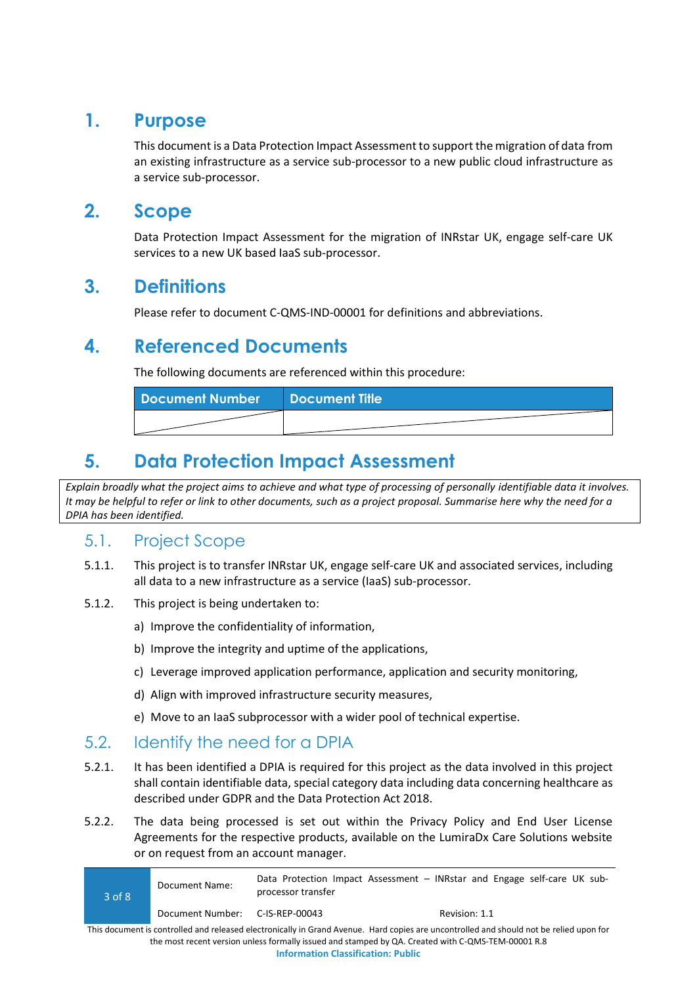### <span id="page-2-0"></span>**1. Purpose**

This document is a Data Protection Impact Assessment to support the migration of data from an existing infrastructure as a service sub-processor to a new public cloud infrastructure as a service sub-processor.

### <span id="page-2-1"></span>**2. Scope**

Data Protection Impact Assessment for the migration of INRstar UK, engage self-care UK services to a new UK based IaaS sub-processor.

### <span id="page-2-2"></span>**3. Definitions**

Please refer to document C-QMS-IND-00001 for definitions and abbreviations.

### <span id="page-2-3"></span>**4. Referenced Documents**

The following documents are referenced within this procedure:

| Document Number   Document Title |  |
|----------------------------------|--|
|                                  |  |

## <span id="page-2-4"></span>**5. Data Protection Impact Assessment**

*Explain broadly what the project aims to achieve and what type of processing of personally identifiable data it involves. It may be helpful to refer or link to other documents, such as a project proposal. Summarise here why the need for a DPIA has been identified.*

### <span id="page-2-5"></span>5.1. Project Scope

- 5.1.1. This project is to transfer INRstar UK, engage self-care UK and associated services, including all data to a new infrastructure as a service (IaaS) sub-processor.
- 5.1.2. This project is being undertaken to:
	- a) Improve the confidentiality of information,
	- b) Improve the integrity and uptime of the applications,
	- c) Leverage improved application performance, application and security monitoring,
	- d) Align with improved infrastructure security measures,
	- e) Move to an IaaS subprocessor with a wider pool of technical expertise.

### <span id="page-2-6"></span>5.2. Identify the need for a DPIA

- 5.2.1. It has been identified a DPIA is required for this project as the data involved in this project shall contain identifiable data, special category data including data concerning healthcare as described under GDPR and the Data Protection Act 2018.
- 5.2.2. The data being processed is set out within the Privacy Policy and End User License Agreements for the respective products, available on the LumiraDx Care Solutions website or on request from an account manager.

| 3 of 8                                                                                                                                  | Document Name:                  | Data Protection Impact Assessment - INRstar and Engage self-care UK sub-<br>processor transfer |  |               |  |  |  |
|-----------------------------------------------------------------------------------------------------------------------------------------|---------------------------------|------------------------------------------------------------------------------------------------|--|---------------|--|--|--|
|                                                                                                                                         | Document Number: C-IS-REP-00043 |                                                                                                |  | Revision: 1.1 |  |  |  |
| This document is controlled and released electronically in Grand Avenue. Hard copies are uncontrolled and should not be relied upon for |                                 |                                                                                                |  |               |  |  |  |

This document is controlled and released electronically in Grand Avenue. Hard copies are uncontrolled and should not be relied upon for the most recent version unless formally issued and stamped by QA. Created with C-QMS-TEM-00001 R.8 **Information Classification: Public**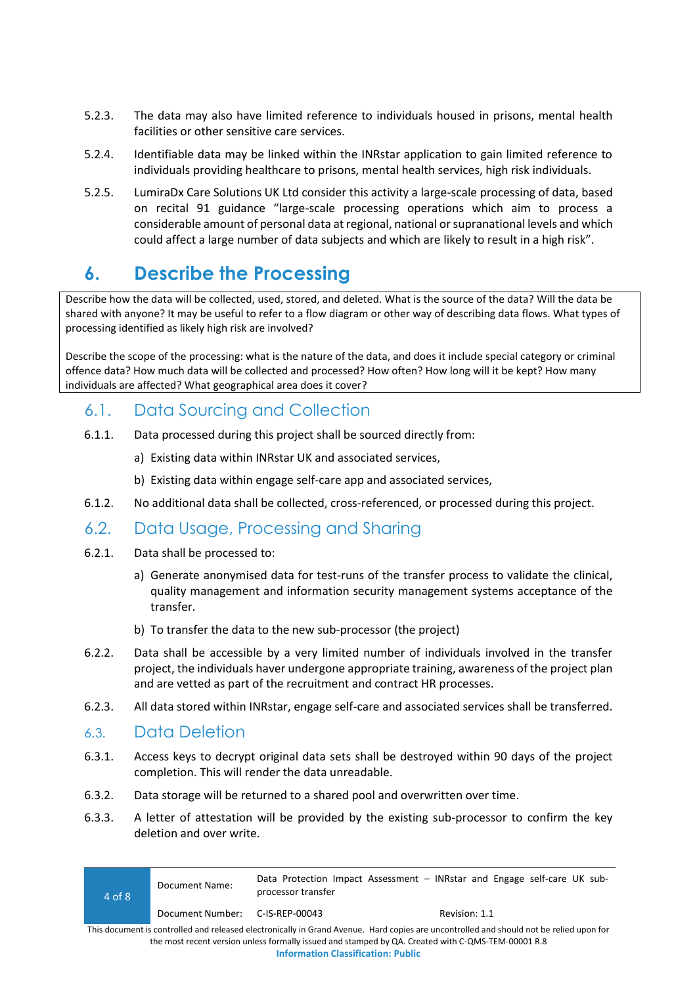- 5.2.3. The data may also have limited reference to individuals housed in prisons, mental health facilities or other sensitive care services.
- 5.2.4. Identifiable data may be linked within the INRstar application to gain limited reference to individuals providing healthcare to prisons, mental health services, high risk individuals.
- 5.2.5. LumiraDx Care Solutions UK Ltd consider this activity a large-scale processing of data, based on recital 91 guidance "large-scale processing operations which aim to process a considerable amount of personal data at regional, national or supranational levels and which could affect a large number of data subjects and which are likely to result in a high risk".

## <span id="page-3-0"></span>**6. Describe the Processing**

Describe how the data will be collected, used, stored, and deleted. What is the source of the data? Will the data be shared with anyone? It may be useful to refer to a flow diagram or other way of describing data flows. What types of processing identified as likely high risk are involved?

Describe the scope of the processing: what is the nature of the data, and does it include special category or criminal offence data? How much data will be collected and processed? How often? How long will it be kept? How many individuals are affected? What geographical area does it cover?

#### <span id="page-3-1"></span>6.1. Data Sourcing and Collection

- 6.1.1. Data processed during this project shall be sourced directly from:
	- a) Existing data within INRstar UK and associated services,
	- b) Existing data within engage self-care app and associated services,
- 6.1.2. No additional data shall be collected, cross-referenced, or processed during this project.

#### <span id="page-3-2"></span>6.2. Data Usage, Processing and Sharing

- 6.2.1. Data shall be processed to:
	- a) Generate anonymised data for test-runs of the transfer process to validate the clinical, quality management and information security management systems acceptance of the transfer.
	- b) To transfer the data to the new sub-processor (the project)
- 6.2.2. Data shall be accessible by a very limited number of individuals involved in the transfer project, the individuals haver undergone appropriate training, awareness of the project plan and are vetted as part of the recruitment and contract HR processes.
- 6.2.3. All data stored within INRstar, engage self-care and associated services shall be transferred.

#### <span id="page-3-3"></span>6.3. Data Deletion

- 6.3.1. Access keys to decrypt original data sets shall be destroyed within 90 days of the project completion. This will render the data unreadable.
- 6.3.2. Data storage will be returned to a shared pool and overwritten over time.
- 6.3.3. A letter of attestation will be provided by the existing sub-processor to confirm the key deletion and over write.

| 4 of 8                                                                                                                                                                                                                                        | Document Name:   | Data Protection Impact Assessment - INRstar and Engage self-care UK sub-<br>processor transfer |  |               |  |  |
|-----------------------------------------------------------------------------------------------------------------------------------------------------------------------------------------------------------------------------------------------|------------------|------------------------------------------------------------------------------------------------|--|---------------|--|--|
|                                                                                                                                                                                                                                               | Document Number: | C-IS-REP-00043                                                                                 |  | Revision: 1.1 |  |  |
| This document is controlled and released electronically in Grand Avenue. Hard copies are uncontrolled and should not be relied upon for<br>the most recent version unless formally issued and stamped by QA. Created with C-QMS-TEM-00001 R.8 |                  |                                                                                                |  |               |  |  |

**Information Classification: Public**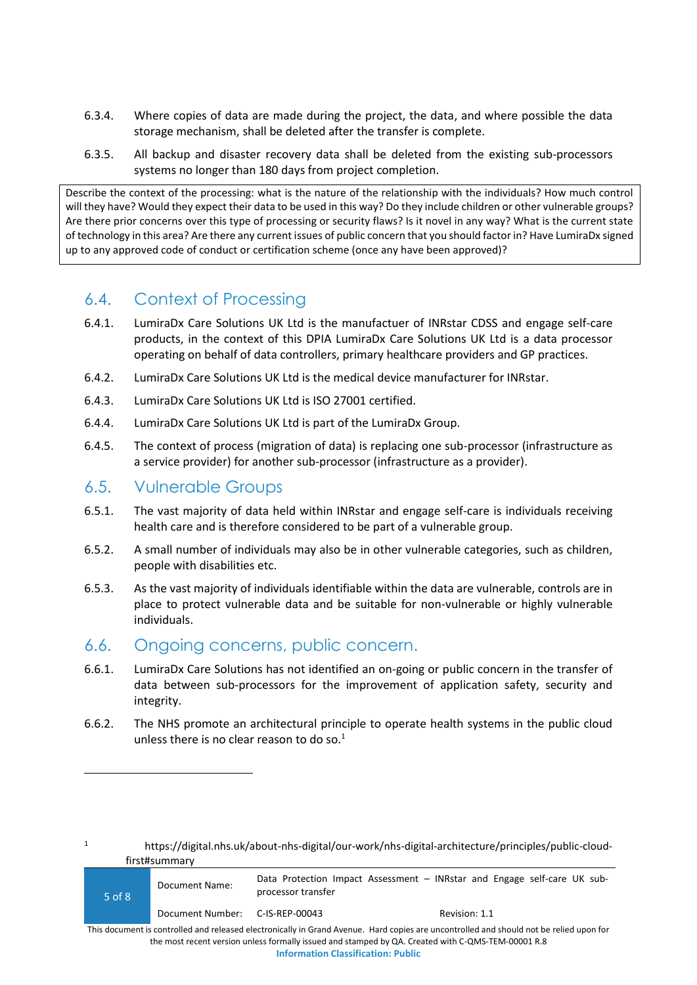- 6.3.4. Where copies of data are made during the project, the data, and where possible the data storage mechanism, shall be deleted after the transfer is complete.
- 6.3.5. All backup and disaster recovery data shall be deleted from the existing sub-processors systems no longer than 180 days from project completion.

Describe the context of the processing: what is the nature of the relationship with the individuals? How much control will they have? Would they expect their data to be used in this way? Do they include children or other vulnerable groups? Are there prior concerns over this type of processing or security flaws? Is it novel in any way? What is the current state of technology in this area? Are there any current issues of public concern that you should factor in? Have LumiraDx signed up to any approved code of conduct or certification scheme (once any have been approved)?

### <span id="page-4-0"></span>6.4. Context of Processing

- 6.4.1. LumiraDx Care Solutions UK Ltd is the manufactuer of INRstar CDSS and engage self-care products, in the context of this DPIA LumiraDx Care Solutions UK Ltd is a data processor operating on behalf of data controllers, primary healthcare providers and GP practices.
- 6.4.2. LumiraDx Care Solutions UK Ltd is the medical device manufacturer for INRstar.
- 6.4.3. LumiraDx Care Solutions UK Ltd is ISO 27001 certified.
- 6.4.4. LumiraDx Care Solutions UK Ltd is part of the LumiraDx Group.
- 6.4.5. The context of process (migration of data) is replacing one sub-processor (infrastructure as a service provider) for another sub-processor (infrastructure as a provider).

#### <span id="page-4-1"></span>6.5. Vulnerable Groups

- 6.5.1. The vast majority of data held within INRstar and engage self-care is individuals receiving health care and is therefore considered to be part of a vulnerable group.
- 6.5.2. A small number of individuals may also be in other vulnerable categories, such as children, people with disabilities etc.
- 6.5.3. As the vast majority of individuals identifiable within the data are vulnerable, controls are in place to protect vulnerable data and be suitable for non-vulnerable or highly vulnerable individuals.

#### <span id="page-4-2"></span>6.6. Ongoing concerns, public concern.

- 6.6.1. LumiraDx Care Solutions has not identified an on-going or public concern in the transfer of data between sub-processors for the improvement of application safety, security and integrity.
- 6.6.2. The NHS promote an architectural principle to operate health systems in the public cloud unless there is no clear reason to do so. $1$

<sup>1</sup> https://digital.nhs.uk/about-nhs-digital/our-work/nhs-digital-architecture/principles/public-cloudfirst#summary

| 5 of 8 | Document Name:                  | Data Protection Impact Assessment – INRstar and Engage self-care UK sub-<br>processor transfer                                          |               |  |  |
|--------|---------------------------------|-----------------------------------------------------------------------------------------------------------------------------------------|---------------|--|--|
|        | Document Number: C-IS-REP-00043 |                                                                                                                                         | Revision: 1.1 |  |  |
|        |                                 | This demonstrated by the local released algebraically in Croad Ayana, Hard conjoc are used the dealed and chauld not be relied used for |               |  |  |

This document is controlled and released electronically in Grand Avenue. Hard copies are uncontrolled and should not be relied upon for the most recent version unless formally issued and stamped by QA. Created with C-QMS-TEM-00001 R.8 **Information Classification: Public**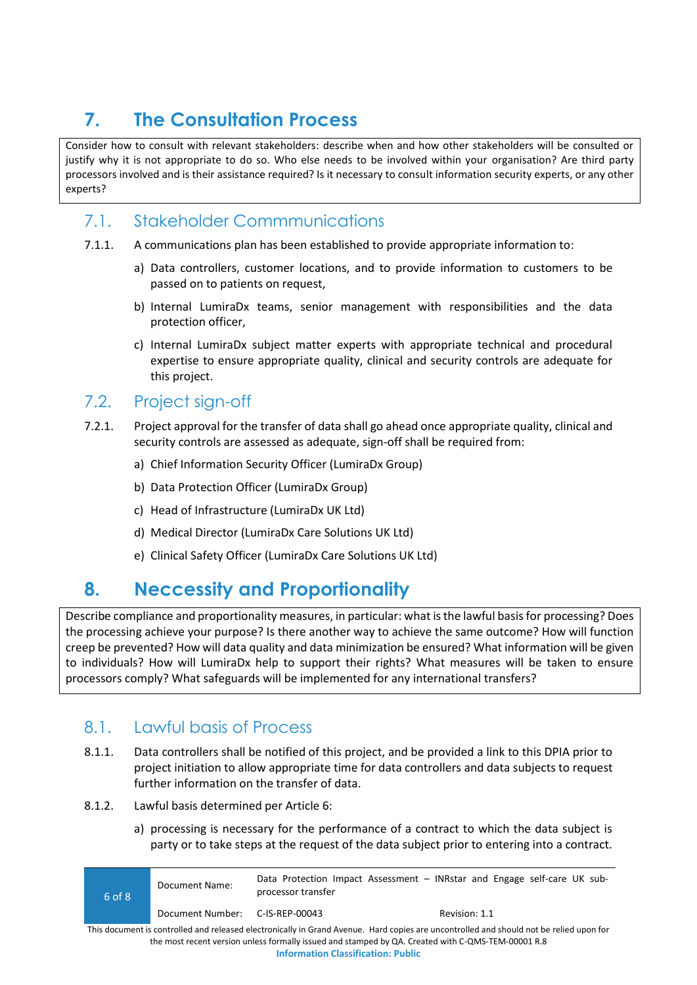## <span id="page-5-0"></span>**7. The Consultation Process**

Consider how to consult with relevant stakeholders: describe when and how other stakeholders will be consulted or justify why it is not appropriate to do so. Who else needs to be involved within your organisation? Are third party processors involved and is their assistance required? Is it necessary to consult information security experts, or any other experts?

### <span id="page-5-1"></span>7.1. Stakeholder Commmunications

- 7.1.1. A communications plan has been established to provide appropriate information to:
	- a) Data controllers, customer locations, and to provide information to customers to be passed on to patients on request,
	- b) Internal LumiraDx teams, senior management with responsibilities and the data protection officer,
	- c) Internal LumiraDx subject matter experts with appropriate technical and procedural expertise to ensure appropriate quality, clinical and security controls are adequate for this project.

### <span id="page-5-2"></span>7.2. Project sign-off

- 7.2.1. Project approval for the transfer of data shall go ahead once appropriate quality, clinical and security controls are assessed as adequate, sign-off shall be required from:
	- a) Chief Information Security Officer (LumiraDx Group)
	- b) Data Protection Officer (LumiraDx Group)
	- c) Head of Infrastructure (LumiraDx UK Ltd)
	- d) Medical Director (LumiraDx Care Solutions UK Ltd)
	- e) Clinical Safety Officer (LumiraDx Care Solutions UK Ltd)

## <span id="page-5-3"></span>**8. Neccessity and Proportionality**

Describe compliance and proportionality measures, in particular: what is the lawful basis for processing? Does the processing achieve your purpose? Is there another way to achieve the same outcome? How will function creep be prevented? How will data quality and data minimization be ensured? What information will be given to individuals? How will LumiraDx help to support their rights? What measures will be taken to ensure processors comply? What safeguards will be implemented for any international transfers?

### <span id="page-5-4"></span>8.1. Lawful basis of Process

- 8.1.1. Data controllers shall be notified of this project, and be provided a link to this DPIA prior to project initiation to allow appropriate time for data controllers and data subjects to request further information on the transfer of data.
- 8.1.2. Lawful basis determined per Article 6:
	- a) processing is necessary for the performance of a contract to which the data subject is party or to take steps at the request of the data subject prior to entering into a contract.

6 of 8 Document Name: Data Protection Impact Assessment – INRstar and Engage self-care UK subprocessor transfer Document Number: C-IS-REP-00043 Revision: 1.1 This document is controlled and released electronically in Grand Avenue. Hard copies are uncontrolled and should not be relied upon for

the most recent version unless formally issued and stamped by QA. Created with C-QMS-TEM-00001 R.8 **Information Classification: Public**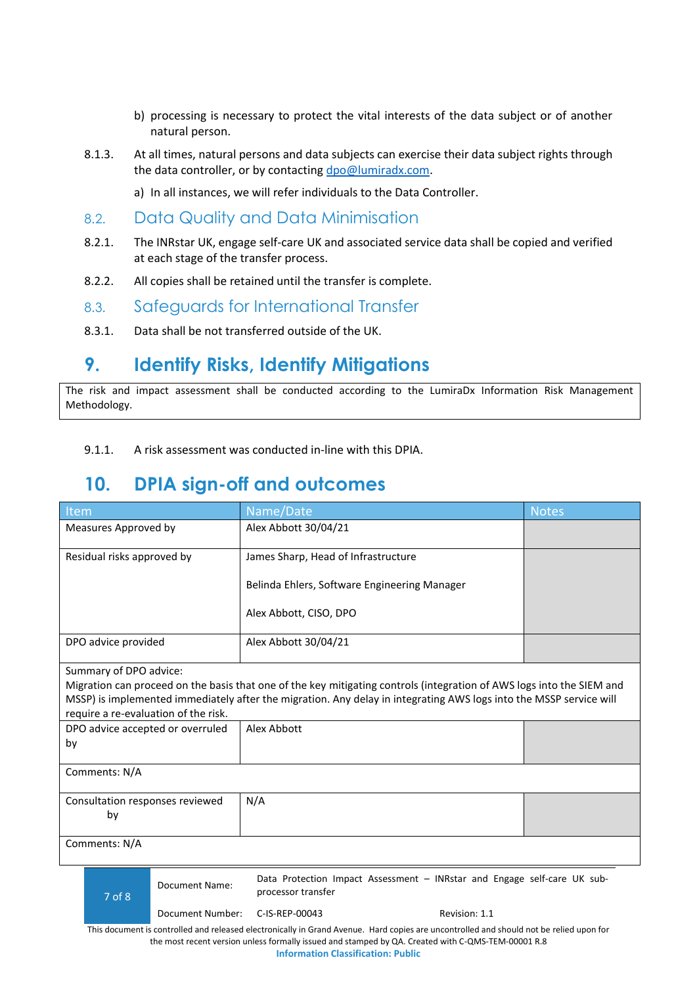- b) processing is necessary to protect the vital interests of the data subject or of another natural person.
- 8.1.3. At all times, natural persons and data subjects can exercise their data subject rights through the data controller, or by contactin[g dpo@lumiradx.com.](mailto:dpo@lumiradx.com)
	- a) In all instances, we will refer individuals to the Data Controller.
- <span id="page-6-0"></span>8.2. Data Quality and Data Minimisation
- 8.2.1. The INRstar UK, engage self-care UK and associated service data shall be copied and verified at each stage of the transfer process.
- 8.2.2. All copies shall be retained until the transfer is complete.
- <span id="page-6-1"></span>8.3. Safeguards for International Transfer
- 8.3.1. Data shall be not transferred outside of the UK.

## <span id="page-6-2"></span>**9. Identify Risks, Identify Mitigations**

The risk and impact assessment shall be conducted according to the LumiraDx Information Risk Management Methodology.

9.1.1. A risk assessment was conducted in-line with this DPIA.

## <span id="page-6-3"></span>**10. DPIA sign-off and outcomes**

| Item                                            |                  | Name/Date                                                                                                                                                                                                                                   | <b>Notes</b> |
|-------------------------------------------------|------------------|---------------------------------------------------------------------------------------------------------------------------------------------------------------------------------------------------------------------------------------------|--------------|
| Measures Approved by                            |                  | Alex Abbott 30/04/21                                                                                                                                                                                                                        |              |
| Residual risks approved by                      |                  | James Sharp, Head of Infrastructure                                                                                                                                                                                                         |              |
|                                                 |                  | Belinda Ehlers, Software Engineering Manager                                                                                                                                                                                                |              |
|                                                 |                  | Alex Abbott, CISO, DPO                                                                                                                                                                                                                      |              |
| DPO advice provided                             |                  | Alex Abbott 30/04/21                                                                                                                                                                                                                        |              |
| Summary of DPO advice:                          |                  |                                                                                                                                                                                                                                             |              |
| require a re-evaluation of the risk.            |                  | Migration can proceed on the basis that one of the key mitigating controls (integration of AWS logs into the SIEM and<br>MSSP) is implemented immediately after the migration. Any delay in integrating AWS logs into the MSSP service will |              |
| Alex Abbott<br>DPO advice accepted or overruled |                  |                                                                                                                                                                                                                                             |              |
| by                                              |                  |                                                                                                                                                                                                                                             |              |
| Comments: N/A                                   |                  |                                                                                                                                                                                                                                             |              |
| Consultation responses reviewed<br>by           |                  | N/A                                                                                                                                                                                                                                         |              |
| Comments: N/A                                   |                  |                                                                                                                                                                                                                                             |              |
| $7$ of $8$                                      | Document Name:   | Data Protection Impact Assessment - INRstar and Engage self-care UK sub-<br>processor transfer                                                                                                                                              |              |
|                                                 | Document Number: | C-IS-REP-00043<br>Revision: 1.1                                                                                                                                                                                                             |              |

This document is controlled and released electronically in Grand Avenue. Hard copies are uncontrolled and should not be relied upon for the most recent version unless formally issued and stamped by QA. Created with C-QMS-TEM-00001 R.8 **Information Classification: Public**